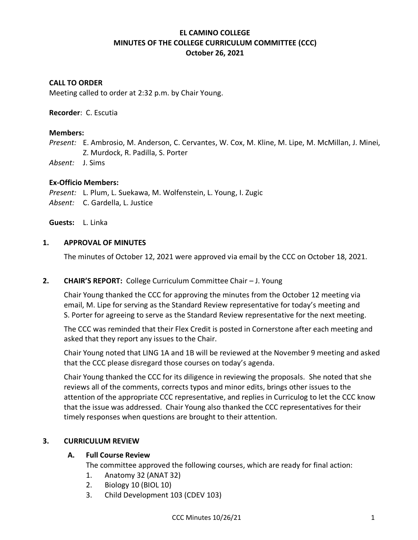# **EL CAMINO COLLEGE MINUTES OF THE COLLEGE CURRICULUM COMMITTEE (CCC) October 26, 2021**

### **CALL TO ORDER**

Meeting called to order at 2:32 p.m. by Chair Young.

**Recorder**: C. Escutia

#### **Members:**

*Present:* E. Ambrosio, M. Anderson, C. Cervantes, W. Cox, M. Kline, M. Lipe, M. McMillan, J. Minei, Z. Murdock, R. Padilla, S. Porter

*Absent:* J. Sims

#### **Ex-Officio Members:**

*Present:* L. Plum, L. Suekawa, M. Wolfenstein, L. Young, I. Zugic *Absent:* C. Gardella, L. Justice

**Guests:** L. Linka

#### **1. APPROVAL OF MINUTES**

The minutes of October 12, 2021 were approved via email by the CCC on October 18, 2021.

### **2. CHAIR'S REPORT:** College Curriculum Committee Chair – J. Young

Chair Young thanked the CCC for approving the minutes from the October 12 meeting via email, M. Lipe for serving as the Standard Review representative for today's meeting and S. Porter for agreeing to serve as the Standard Review representative for the next meeting.

The CCC was reminded that their Flex Credit is posted in Cornerstone after each meeting and asked that they report any issues to the Chair.

Chair Young noted that LING 1A and 1B will be reviewed at the November 9 meeting and asked that the CCC please disregard those courses on today's agenda.

Chair Young thanked the CCC for its diligence in reviewing the proposals. She noted that she reviews all of the comments, corrects typos and minor edits, brings other issues to the attention of the appropriate CCC representative, and replies in Curriculog to let the CCC know that the issue was addressed. Chair Young also thanked the CCC representatives for their timely responses when questions are brought to their attention.

### **3. CURRICULUM REVIEW**

#### **A. Full Course Review**

The committee approved the following courses, which are ready for final action:

- 1. Anatomy 32 (ANAT 32)
- 2. Biology 10 (BIOL 10)
- 3. Child Development 103 (CDEV 103)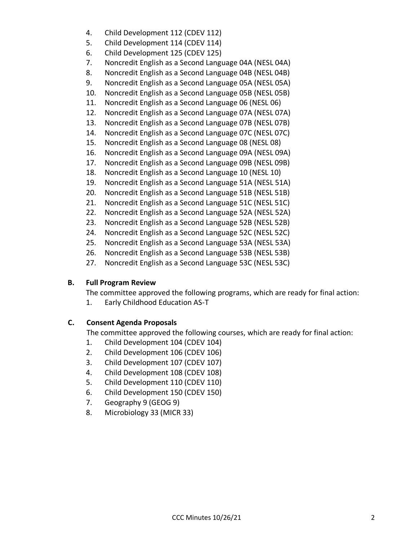- 4. Child Development 112 (CDEV 112)
- 5. Child Development 114 (CDEV 114)
- 6. Child Development 125 (CDEV 125)
- 7. Noncredit English as a Second Language 04A (NESL 04A)
- 8. Noncredit English as a Second Language 04B (NESL 04B)
- 9. Noncredit English as a Second Language 05A (NESL 05A)
- 10. Noncredit English as a Second Language 05B (NESL 05B)
- 11. Noncredit English as a Second Language 06 (NESL 06)
- 12. Noncredit English as a Second Language 07A (NESL 07A)
- 13. Noncredit English as a Second Language 07B (NESL 07B)
- 14. Noncredit English as a Second Language 07C (NESL 07C)
- 15. Noncredit English as a Second Language 08 (NESL 08)
- 16. Noncredit English as a Second Language 09A (NESL 09A)
- 17. Noncredit English as a Second Language 09B (NESL 09B)
- 18. Noncredit English as a Second Language 10 (NESL 10)
- 19. Noncredit English as a Second Language 51A (NESL 51A)
- 20. Noncredit English as a Second Language 51B (NESL 51B)
- 21. Noncredit English as a Second Language 51C (NESL 51C)
- 22. Noncredit English as a Second Language 52A (NESL 52A)
- 23. Noncredit English as a Second Language 52B (NESL 52B)
- 24. Noncredit English as a Second Language 52C (NESL 52C)
- 25. Noncredit English as a Second Language 53A (NESL 53A)
- 26. Noncredit English as a Second Language 53B (NESL 53B)
- 27. Noncredit English as a Second Language 53C (NESL 53C)

# **B. Full Program Review**

The committee approved the following programs, which are ready for final action:

1. Early Childhood Education AS-T

# **C. Consent Agenda Proposals**

The committee approved the following courses, which are ready for final action:

- 1. Child Development 104 (CDEV 104)
- 2. Child Development 106 (CDEV 106)
- 3. Child Development 107 (CDEV 107)
- 4. Child Development 108 (CDEV 108)
- 5. Child Development 110 (CDEV 110)
- 6. Child Development 150 (CDEV 150)
- 7. Geography 9 (GEOG 9)
- 8. Microbiology 33 (MICR 33)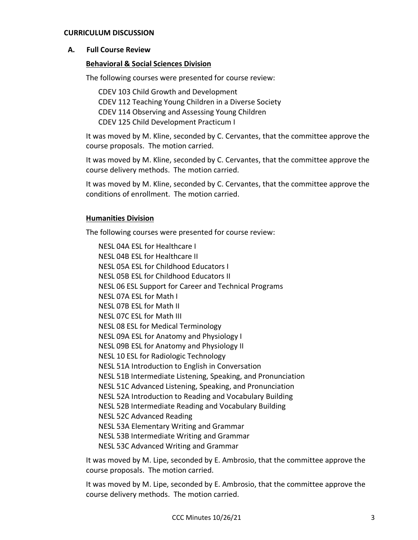#### **CURRICULUM DISCUSSION**

#### **A. Full Course Review**

#### **Behavioral & Social Sciences Division**

The following courses were presented for course review:

CDEV 103 Child Growth and Development CDEV 112 Teaching Young Children in a Diverse Society CDEV 114 Observing and Assessing Young Children CDEV 125 Child Development Practicum I

It was moved by M. Kline, seconded by C. Cervantes, that the committee approve the course proposals. The motion carried.

It was moved by M. Kline, seconded by C. Cervantes, that the committee approve the course delivery methods. The motion carried.

It was moved by M. Kline, seconded by C. Cervantes, that the committee approve the conditions of enrollment. The motion carried.

#### **Humanities Division**

The following courses were presented for course review:

NESL 04A ESL for Healthcare I NESL 04B ESL for Healthcare II NESL 05A ESL for Childhood Educators I NESL 05B ESL for Childhood Educators II NESL 06 ESL Support for Career and Technical Programs NESL 07A ESL for Math I NESL 07B ESL for Math II NESL 07C ESL for Math III NESL 08 ESL for Medical Terminology NESL 09A ESL for Anatomy and Physiology I NESL 09B ESL for Anatomy and Physiology II NESL 10 ESL for Radiologic Technology NESL 51A Introduction to English in Conversation NESL 51B Intermediate Listening, Speaking, and Pronunciation NESL 51C Advanced Listening, Speaking, and Pronunciation NESL 52A Introduction to Reading and Vocabulary Building NESL 52B Intermediate Reading and Vocabulary Building NESL 52C Advanced Reading NESL 53A Elementary Writing and Grammar NESL 53B Intermediate Writing and Grammar NESL 53C Advanced Writing and Grammar

It was moved by M. Lipe, seconded by E. Ambrosio, that the committee approve the course proposals. The motion carried.

It was moved by M. Lipe, seconded by E. Ambrosio, that the committee approve the course delivery methods. The motion carried.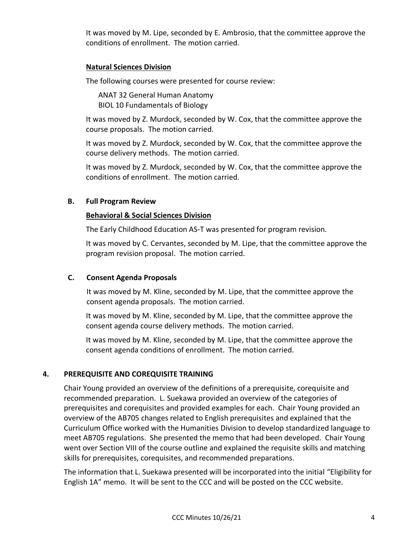It was moved by M. Lipe, seconded by E. Ambrosio, that the committee approve the conditions of enrollment. The motion carried.

## **Natural Sciences Division**

The following courses were presented for course review:

ANAT 32 General Human Anatomy BIOL 10 Fundamentals of Biology

It was moved by Z. Murdock, seconded by W. Cox, that the committee approve the course proposals. The motion carried.

It was moved by Z. Murdock, seconded by W. Cox, that the committee approve the course delivery methods. The motion carried.

It was moved by Z. Murdock, seconded by W. Cox, that the committee approve the conditions of enrollment. The motion carried.

# **B. Full Program Review**

## **Behavioral & Social Sciences Division**

The Early Childhood Education AS-T was presented for program revision.

It was moved by C. Cervantes, seconded by M. Lipe, that the committee approve the program revision proposal. The motion carried.

# **C. Consent Agenda Proposals**

It was moved by M. Kline, seconded by M. Lipe, that the committee approve the consent agenda proposals. The motion carried.

It was moved by M. Kline, seconded by M. Lipe, that the committee approve the consent agenda course delivery methods. The motion carried.

It was moved by M. Kline, seconded by M. Lipe, that the committee approve the consent agenda conditions of enrollment. The motion carried.

# **4. PREREQUISITE AND COREQUISITE TRAINING**

Chair Young provided an overview of the definitions of a prerequisite, corequisite and recommended preparation. L. Suekawa provided an overview of the categories of prerequisites and corequisites and provided examples for each. Chair Young provided an overview of the AB705 changes related to English prerequisites and explained that the Curriculum Office worked with the Humanities Division to develop standardized language to meet AB705 regulations. She presented the memo that had been developed. Chair Young went over Section VIII of the course outline and explained the requisite skills and matching skills for prerequisites, corequisites, and recommended preparations.

The information that L. Suekawa presented will be incorporated into the initial "Eligibility for English 1A" memo. It will be sent to the CCC and will be posted on the CCC website.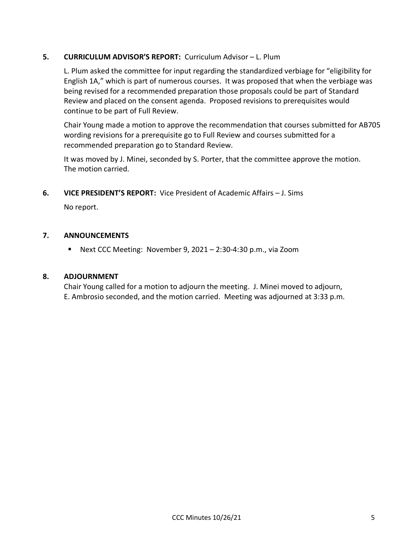## **5. CURRICULUM ADVISOR'S REPORT:** Curriculum Advisor – L. Plum

L. Plum asked the committee for input regarding the standardized verbiage for "eligibility for English 1A," which is part of numerous courses. It was proposed that when the verbiage was being revised for a recommended preparation those proposals could be part of Standard Review and placed on the consent agenda. Proposed revisions to prerequisites would continue to be part of Full Review.

Chair Young made a motion to approve the recommendation that courses submitted for AB705 wording revisions for a prerequisite go to Full Review and courses submitted for a recommended preparation go to Standard Review.

It was moved by J. Minei, seconded by S. Porter, that the committee approve the motion. The motion carried.

**6. VICE PRESIDENT'S REPORT:** Vice President of Academic Affairs – J. Sims

No report.

### **7. ANNOUNCEMENTS**

■ Next CCC Meeting: November 9, 2021 – 2:30-4:30 p.m., via Zoom

### **8. ADJOURNMENT**

Chair Young called for a motion to adjourn the meeting. J. Minei moved to adjourn, E. Ambrosio seconded, and the motion carried. Meeting was adjourned at 3:33 p.m.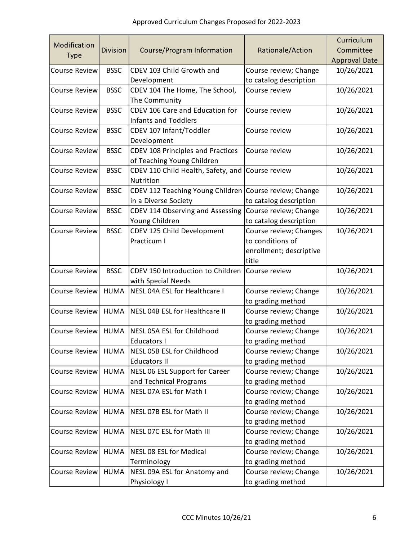|                      |                 |                                    |                         | Curriculum           |
|----------------------|-----------------|------------------------------------|-------------------------|----------------------|
| Modification         | <b>Division</b> | Course/Program Information         | Rationale/Action        | Committee            |
| <b>Type</b>          |                 |                                    |                         | <b>Approval Date</b> |
| <b>Course Review</b> | <b>BSSC</b>     | CDEV 103 Child Growth and          | Course review; Change   | 10/26/2021           |
|                      |                 | Development                        | to catalog description  |                      |
| <b>Course Review</b> | <b>BSSC</b>     | CDEV 104 The Home, The School,     | Course review           | 10/26/2021           |
|                      |                 | The Community                      |                         |                      |
| <b>Course Review</b> | <b>BSSC</b>     | CDEV 106 Care and Education for    | Course review           | 10/26/2021           |
|                      |                 | <b>Infants and Toddlers</b>        |                         |                      |
| <b>Course Review</b> | <b>BSSC</b>     | CDEV 107 Infant/Toddler            | Course review           | 10/26/2021           |
|                      |                 | Development                        |                         |                      |
| <b>Course Review</b> | <b>BSSC</b>     | CDEV 108 Principles and Practices  | Course review           | 10/26/2021           |
|                      |                 | of Teaching Young Children         |                         |                      |
| <b>Course Review</b> | <b>BSSC</b>     | CDEV 110 Child Health, Safety, and | Course review           | 10/26/2021           |
|                      |                 | Nutrition                          |                         |                      |
| <b>Course Review</b> | <b>BSSC</b>     | CDEV 112 Teaching Young Children   | Course review; Change   | 10/26/2021           |
|                      |                 | in a Diverse Society               | to catalog description  |                      |
| <b>Course Review</b> | <b>BSSC</b>     | CDEV 114 Observing and Assessing   | Course review; Change   | 10/26/2021           |
|                      |                 | Young Children                     | to catalog description  |                      |
| <b>Course Review</b> | <b>BSSC</b>     | CDEV 125 Child Development         | Course review; Changes  | 10/26/2021           |
|                      |                 | Practicum I                        | to conditions of        |                      |
|                      |                 |                                    | enrollment; descriptive |                      |
|                      |                 |                                    | title                   |                      |
| <b>Course Review</b> | <b>BSSC</b>     | CDEV 150 Introduction to Children  | Course review           | 10/26/2021           |
|                      |                 | with Special Needs                 |                         |                      |
| Course Review        | <b>HUMA</b>     | NESL 04A ESL for Healthcare I      | Course review; Change   | 10/26/2021           |
|                      |                 |                                    | to grading method       |                      |
| <b>Course Review</b> | <b>HUMA</b>     | NESL 04B ESL for Healthcare II     | Course review; Change   | 10/26/2021           |
|                      |                 |                                    | to grading method       |                      |
| Course Review        | <b>HUMA</b>     | NESL 05A ESL for Childhood         | Course review; Change   | 10/26/2021           |
|                      |                 | Educators I                        | to grading method       |                      |
| <b>Course Review</b> | <b>HUMA</b>     | NESL 05B ESL for Childhood         | Course review; Change   | 10/26/2021           |
|                      |                 | <b>Educators II</b>                | to grading method       |                      |
| <b>Course Review</b> | <b>HUMA</b>     | NESL 06 ESL Support for Career     | Course review; Change   | 10/26/2021           |
|                      |                 | and Technical Programs             | to grading method       |                      |
| <b>Course Review</b> | <b>HUMA</b>     | NESL 07A ESL for Math I            | Course review; Change   | 10/26/2021           |
|                      |                 |                                    | to grading method       |                      |
| <b>Course Review</b> | <b>HUMA</b>     | NESL 07B ESL for Math II           | Course review; Change   | 10/26/2021           |
|                      |                 |                                    | to grading method       |                      |
| Course Review        | <b>HUMA</b>     | NESL 07C ESL for Math III          | Course review; Change   | 10/26/2021           |
|                      |                 |                                    | to grading method       |                      |
| <b>Course Review</b> | <b>HUMA</b>     | NESL 08 ESL for Medical            | Course review; Change   | 10/26/2021           |
|                      |                 | Terminology                        | to grading method       |                      |
| <b>Course Review</b> | <b>HUMA</b>     | NESL 09A ESL for Anatomy and       | Course review; Change   | 10/26/2021           |
|                      |                 | Physiology I                       | to grading method       |                      |